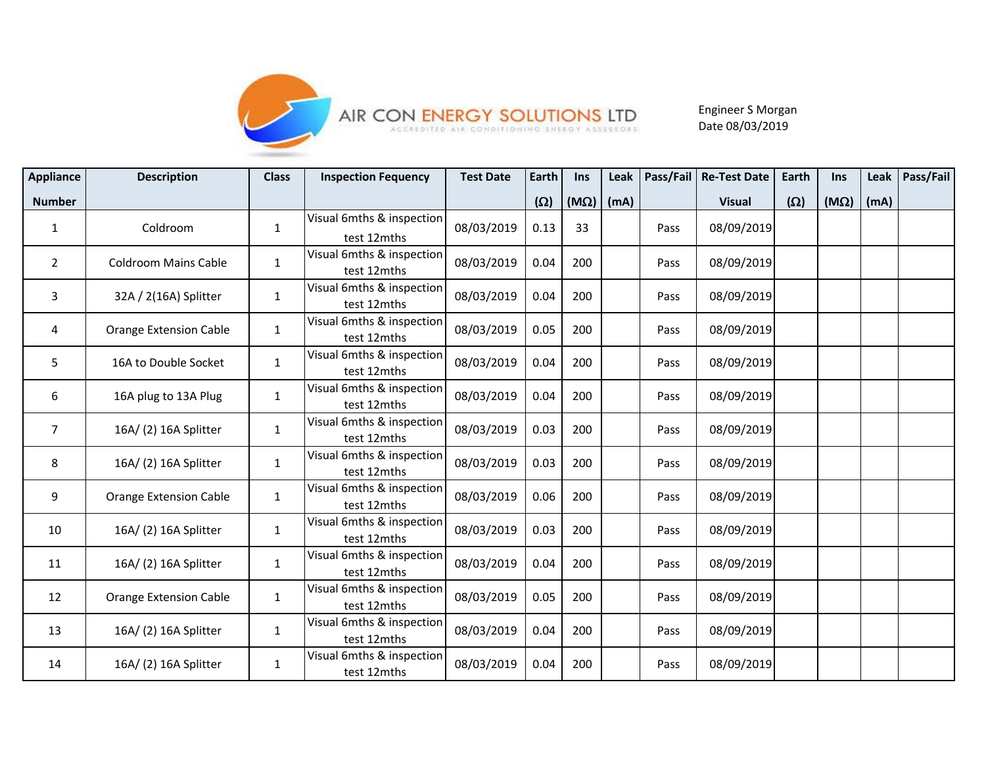

## AIR CON ENERGY SOLUTIONS LTD

Engineer S Morgan Date 08/03/2019

| <b>Appliance</b> | <b>Description</b>            | <b>Class</b> | <b>Inspection Fequency</b>               | <b>Test Date</b> | Earth      | Ins         | Leak | <b>Pass/Fail</b> | <b>Re-Test Date</b> | <b>Earth</b> | Ins         | Leak | Pass/Fail |
|------------------|-------------------------------|--------------|------------------------------------------|------------------|------------|-------------|------|------------------|---------------------|--------------|-------------|------|-----------|
| <b>Number</b>    |                               |              |                                          |                  | $(\Omega)$ | $(M\Omega)$ | (mA) |                  | <b>Visual</b>       | $(\Omega)$   | $(M\Omega)$ | (mA) |           |
| $\mathbf{1}$     | Coldroom                      | $\mathbf{1}$ | Visual 6mths & inspection<br>test 12mths | 08/03/2019       | 0.13       | 33          |      | Pass             | 08/09/2019          |              |             |      |           |
| $\overline{2}$   | <b>Coldroom Mains Cable</b>   | $\mathbf{1}$ | Visual 6mths & inspection<br>test 12mths | 08/03/2019       | 0.04       | 200         |      | Pass             | 08/09/2019          |              |             |      |           |
| $\mathbf{3}$     | 32A / 2(16A) Splitter         | $\mathbf{1}$ | Visual 6mths & inspection<br>test 12mths | 08/03/2019       | 0.04       | 200         |      | Pass             | 08/09/2019          |              |             |      |           |
| 4                | <b>Orange Extension Cable</b> | $\mathbf{1}$ | Visual 6mths & inspection<br>test 12mths | 08/03/2019       | 0.05       | 200         |      | Pass             | 08/09/2019          |              |             |      |           |
| 5                | 16A to Double Socket          | $\mathbf{1}$ | Visual 6mths & inspection<br>test 12mths | 08/03/2019       | 0.04       | 200         |      | Pass             | 08/09/2019          |              |             |      |           |
| 6                | 16A plug to 13A Plug          | $\mathbf{1}$ | Visual 6mths & inspection<br>test 12mths | 08/03/2019       | 0.04       | 200         |      | Pass             | 08/09/2019          |              |             |      |           |
| $\overline{7}$   | 16A/(2) 16A Splitter          | $\mathbf{1}$ | Visual 6mths & inspection<br>test 12mths | 08/03/2019       | 0.03       | 200         |      | Pass             | 08/09/2019          |              |             |      |           |
| 8                | 16A/(2) 16A Splitter          | $\mathbf{1}$ | Visual 6mths & inspection<br>test 12mths | 08/03/2019       | 0.03       | 200         |      | Pass             | 08/09/2019          |              |             |      |           |
| 9                | <b>Orange Extension Cable</b> | $\mathbf{1}$ | Visual 6mths & inspection<br>test 12mths | 08/03/2019       | 0.06       | 200         |      | Pass             | 08/09/2019          |              |             |      |           |
| 10               | 16A/(2) 16A Splitter          | $\mathbf{1}$ | Visual 6mths & inspection<br>test 12mths | 08/03/2019       | 0.03       | 200         |      | Pass             | 08/09/2019          |              |             |      |           |
| 11               | 16A/(2) 16A Splitter          | $\mathbf{1}$ | Visual 6mths & inspection<br>test 12mths | 08/03/2019       | 0.04       | 200         |      | Pass             | 08/09/2019          |              |             |      |           |
| 12               | <b>Orange Extension Cable</b> | $\mathbf{1}$ | Visual 6mths & inspection<br>test 12mths | 08/03/2019       | 0.05       | 200         |      | Pass             | 08/09/2019          |              |             |      |           |
| 13               | 16A/(2) 16A Splitter          | $\mathbf{1}$ | Visual 6mths & inspection<br>test 12mths | 08/03/2019       | 0.04       | 200         |      | Pass             | 08/09/2019          |              |             |      |           |
| 14               | 16A/(2) 16A Splitter          | $\mathbf{1}$ | Visual 6mths & inspection<br>test 12mths | 08/03/2019       | 0.04       | 200         |      | Pass             | 08/09/2019          |              |             |      |           |